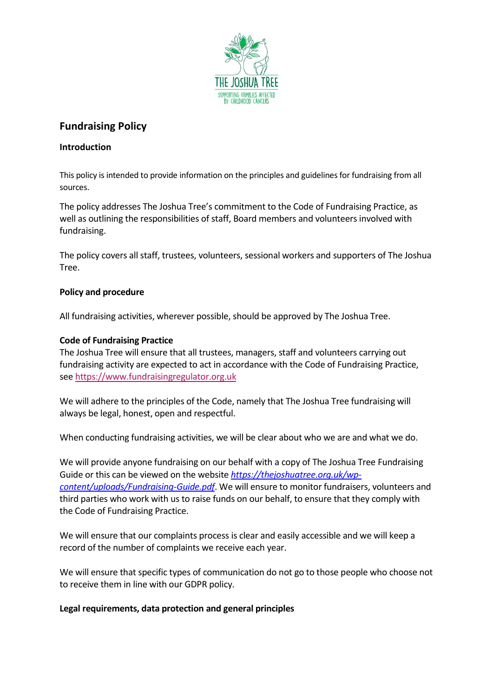

# **Fundraising Policy**

# **Introduction**

This policy is intended to provide information on the principles and guidelines for fundraising from all sources.

The policy addresses The Joshua Tree's commitment to the Code of Fundraising Practice, as well as outlining the responsibilities of staff, Board members and volunteers involved with fundraising.

The policy covers all staff, trustees, volunteers, sessional workers and supporters of The Joshua Tree.

# **Policy and procedure**

All fundraising activities, wherever possible, should be approved by The Joshua Tree.

# **Code of Fundraising Practice**

The Joshua Tree will ensure that all trustees, managers, staff and volunteers carrying out fundraising activity are expected to act in accordance with the Code of Fundraising Practice, see [https://www.fundraisingregulator.org.uk](https://www.fundraisingregulator.org.uk/)

We will adhere to the principles of the Code, namely that The Joshua Tree fundraising will always be legal, honest, open and respectful.

When conducting fundraising activities, we will be clear about who we are and what we do.

We will provide anyone fundraising on our behalf with a copy of The Joshua Tree Fundraising Guide or this can be viewed on the website *[https://thejoshuatree.org.uk/wp](https://thejoshuatree.org.uk/wp-content/uploads/Fundraising-Guide.pdf)[content/uploads/Fundraising-Guide.pdf](https://thejoshuatree.org.uk/wp-content/uploads/Fundraising-Guide.pdf)*. We will ensure to monitor fundraisers, volunteers and third parties who work with us to raise funds on our behalf, to ensure that they comply with the Code of Fundraising Practice.

We will ensure that our complaints process is clear and easily accessible and we will keep a record of the number of complaints we receive each year.

We will ensure that specific types of communication do not go to those people who choose not to receive them in line with our GDPR policy.

## **Legal requirements, data protection and general principles**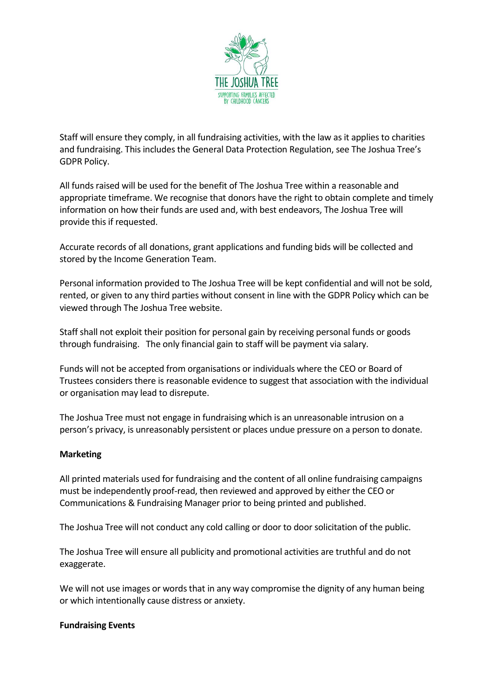

Staff will ensure they comply, in all fundraising activities, with the law as it applies to charities and fundraising. This includes the General Data Protection Regulation, see The Joshua Tree's GDPR Policy.

All funds raised will be used for the benefit of The Joshua Tree within a reasonable and appropriate timeframe. We recognise that donors have the right to obtain complete and timely information on how their funds are used and, with best endeavors, The Joshua Tree will provide this if requested.

Accurate records of all donations, grant applications and funding bids will be collected and stored by the Income Generation Team.

Personal information provided to The Joshua Tree will be kept confidential and will not be sold, rented, or given to any third parties without consent in line with the GDPR Policy which can be viewed through The Joshua Tree website.

Staff shall not exploit their position for personal gain by receiving personal funds or goods through fundraising. The only financial gain to staff will be payment via salary.

Funds will not be accepted from organisations or individuals where the CEO or Board of Trustees considers there is reasonable evidence to suggest that association with the individual or organisation may lead to disrepute.

The Joshua Tree must not engage in fundraising which is an unreasonable intrusion on a person's privacy, is unreasonably persistent or places undue pressure on a person to donate.

## **Marketing**

All printed materials used for fundraising and the content of all online fundraising campaigns must be independently proof-read, then reviewed and approved by either the CEO or Communications & Fundraising Manager prior to being printed and published.

The Joshua Tree will not conduct any cold calling or door to door solicitation of the public.

The Joshua Tree will ensure all publicity and promotional activities are truthful and do not exaggerate.

We will not use images or words that in any way compromise the dignity of any human being or which intentionally cause distress or anxiety.

#### **Fundraising Events**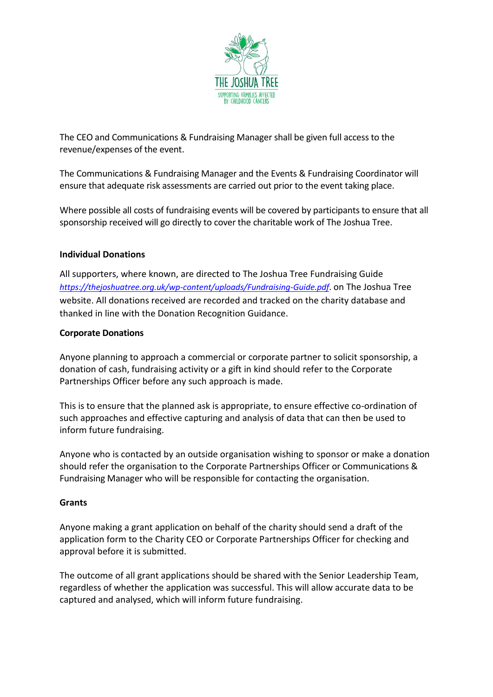

The CEO and Communications & Fundraising Manager shall be given full access to the revenue/expenses of the event.

The Communications & Fundraising Manager and the Events & Fundraising Coordinator will ensure that adequate risk assessments are carried out prior to the event taking place.

Where possible all costs of fundraising events will be covered by participants to ensure that all sponsorship received will go directly to cover the charitable work of The Joshua Tree.

## **Individual Donations**

All supporters, where known, are directed to The Joshua Tree Fundraising Guide *<https://thejoshuatree.org.uk/wp-content/uploads/Fundraising-Guide.pdf>*. on The Joshua Tree website. All donations received are recorded and tracked on the charity database and thanked in line with the Donation Recognition Guidance.

#### **Corporate Donations**

Anyone planning to approach a commercial or corporate partner to solicit sponsorship, a donation of cash, fundraising activity or a gift in kind should refer to the Corporate Partnerships Officer before any such approach is made.

This is to ensure that the planned ask is appropriate, to ensure effective co-ordination of such approaches and effective capturing and analysis of data that can then be used to inform future fundraising.

Anyone who is contacted by an outside organisation wishing to sponsor or make a donation should refer the organisation to the Corporate Partnerships Officer or Communications & Fundraising Manager who will be responsible for contacting the organisation.

#### **Grants**

Anyone making a grant application on behalf of the charity should send a draft of the application form to the Charity CEO or Corporate Partnerships Officer for checking and approval before it is submitted.

The outcome of all grant applications should be shared with the Senior Leadership Team, regardless of whether the application was successful. This will allow accurate data to be captured and analysed, which will inform future fundraising.